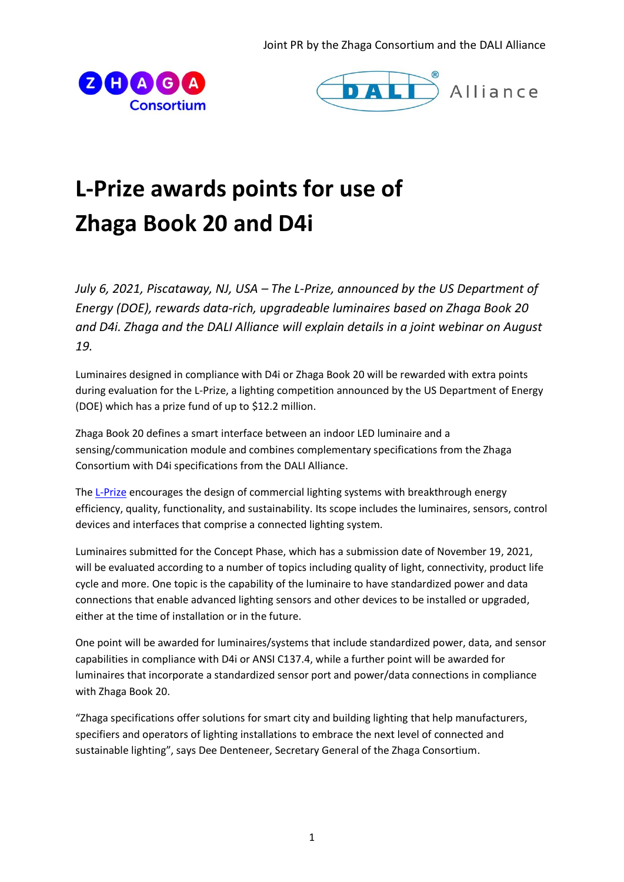Joint PR by the Zhaga Consortium and the DALI Alliance





# **L-Prize awards points for use of Zhaga Book 20 and D4i**

*July 6, 2021, Piscataway, NJ, USA – The L-Prize, announced by the US Department of Energy (DOE), rewards data-rich, upgradeable luminaires based on Zhaga Book 20 and D4i. Zhaga and the DALI Alliance will explain details in a joint webinar on August 19.* 

Luminaires designed in compliance with D4i or Zhaga Book 20 will be rewarded with extra points during evaluation for the L-Prize, a lighting competition announced by the US Department of Energy (DOE) which has a prize fund of up to \$12.2 million.

Zhaga Book 20 defines a smart interface between an indoor LED luminaire and a sensing/communication module and combines complementary specifications from the Zhaga Consortium with D4i specifications from the DALI Alliance.

The [L-Prize](https://www.americanmadechallenges.org/lprize/) encourages the design of commercial lighting systems with breakthrough energy efficiency, quality, functionality, and sustainability. Its scope includes the luminaires, sensors, control devices and interfaces that comprise a connected lighting system.

Luminaires submitted for the Concept Phase, which has a submission date of November 19, 2021, will be evaluated according to a number of topics including quality of light, connectivity, product life cycle and more. One topic is the capability of the luminaire to have standardized power and data connections that enable advanced lighting sensors and other devices to be installed or upgraded, either at the time of installation or in the future.

One point will be awarded for luminaires/systems that include standardized power, data, and sensor capabilities in compliance with D4i or ANSI C137.4, while a further point will be awarded for luminaires that incorporate a standardized sensor port and power/data connections in compliance with Zhaga Book 20.

"Zhaga specifications offer solutions for smart city and building lighting that help manufacturers, specifiers and operators of lighting installations to embrace the next level of connected and sustainable lighting", says Dee Denteneer, Secretary General of the Zhaga Consortium.